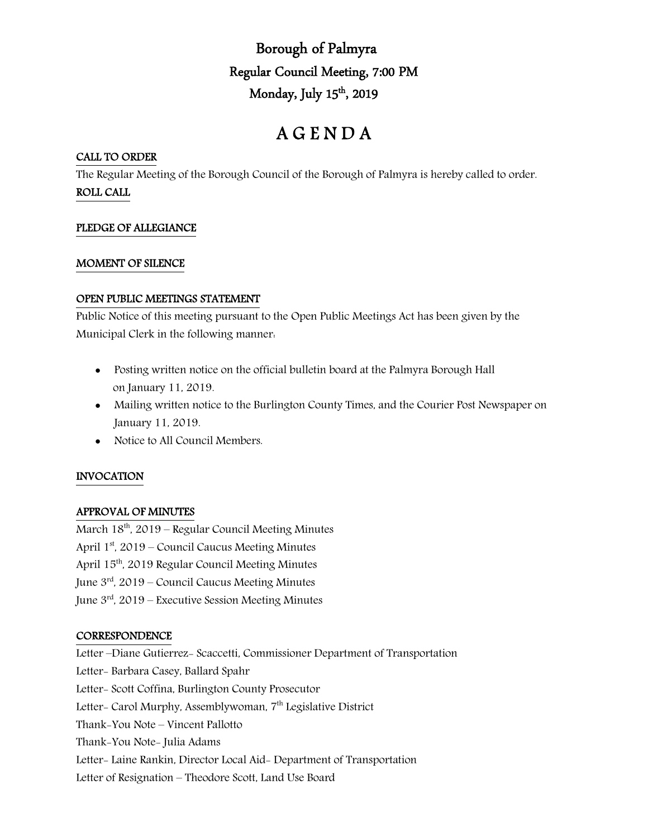Borough of Palmyra Regular Council Meeting, 7:00 PM Monday, July 15th, 2019

# A G E N D A

#### CALL TO ORDER

The Regular Meeting of the Borough Council of the Borough of Palmyra is hereby called to order. ROLL CALL

# PLEDGE OF ALLEGIANCE

#### MOMENT OF SILENCE

## OPEN PUBLIC MEETINGS STATEMENT

Public Notice of this meeting pursuant to the Open Public Meetings Act has been given by the Municipal Clerk in the following manner:

- Posting written notice on the official bulletin board at the Palmyra Borough Hall on January 11, 2019.
- Mailing written notice to the Burlington County Times, and the Courier Post Newspaper on January 11, 2019.
- Notice to All Council Members.

# INVOCATION

# APPROVAL OF MINUTES

March  $18<sup>th</sup>$ , 2019 – Regular Council Meeting Minutes April  $1<sup>st</sup>$ , 2019 – Council Caucus Meeting Minutes April 15th, 2019 Regular Council Meeting Minutes June  $3<sup>rd</sup>$ , 2019 – Council Caucus Meeting Minutes June  $3<sup>rd</sup>$ , 2019 – Executive Session Meeting Minutes

#### **CORRESPONDENCE**

Letter –Diane Gutierrez- Scaccetti, Commissioner Department of Transportation Letter- Barbara Casey, Ballard Spahr Letter- Scott Coffina, Burlington County Prosecutor Letter- Carol Murphy, Assemblywoman, 7<sup>th</sup> Legislative District Thank-You Note – Vincent Pallotto Thank-You Note- Julia Adams Letter- Laine Rankin, Director Local Aid- Department of Transportation Letter of Resignation – Theodore Scott, Land Use Board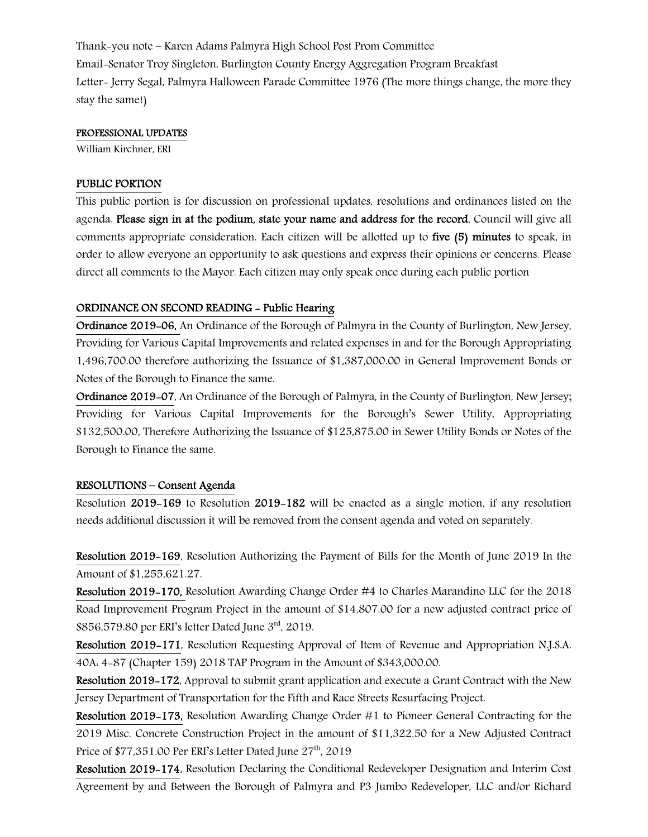Thank-you note – Karen Adams Palmyra High School Post Prom Committee Email-Senator Troy Singleton, Burlington County Energy Aggregation Program Breakfast Letter- Jerry Segal, Palmyra Halloween Parade Committee 1976 (The more things change, the more they stay the same!)

#### PROFESSIONAL UPDATES

William Kirchner, ERI

## PUBLIC PORTION

This public portion is for discussion on professional updates, resolutions and ordinances listed on the agenda. Please sign in at the podium, state your name and address for the record. Council will give all comments appropriate consideration. Each citizen will be allotted up to five (5) minutes to speak, in order to allow everyone an opportunity to ask questions and express their opinions or concerns. Please direct all comments to the Mayor. Each citizen may only speak once during each public portion

## ORDINANCE ON SECOND READING - Public Hearing

Ordinance 2019-06, An Ordinance of the Borough of Palmyra in the County of Burlington, New Jersey, Providing for Various Capital Improvements and related expenses in and for the Borough Appropriating 1,496,700.00 therefore authorizing the Issuance of \$1,387,000.00 in General Improvement Bonds or Notes of the Borough to Finance the same.

Ordinance 2019-07, An Ordinance of the Borough of Palmyra, in the County of Burlington, New Jersey; Providing for Various Capital Improvements for the Borough's Sewer Utility, Appropriating \$132,500.00, Therefore Authorizing the Issuance of \$125,875.00 in Sewer Utility Bonds or Notes of the Borough to Finance the same.

#### RESOLUTIONS – Consent Agenda

Resolution 2019-169 to Resolution 2019-182 will be enacted as a single motion, if any resolution needs additional discussion it will be removed from the consent agenda and voted on separately.

Resolution 2019-169, Resolution Authorizing the Payment of Bills for the Month of June 2019 In the Amount of \$1,255,621.27.

Resolution 2019-170, Resolution Awarding Change Order #4 to Charles Marandino LLC for the 2018 Road Improvement Program Project in the amount of \$14,807.00 for a new adjusted contract price of \$856,579.80 per ERI's letter Dated June 3rd, 2019.

Resolution 2019-171, Resolution Requesting Approval of Item of Revenue and Appropriation N.J.S.A. 40A: 4-87 (Chapter 159) 2018 TAP Program in the Amount of \$343,000.00.

Resolution 2019-172, Approval to submit grant application and execute a Grant Contract with the New Jersey Department of Transportation for the Fifth and Race Streets Resurfacing Project.

Resolution 2019-173, Resolution Awarding Change Order #1 to Pioneer General Contracting for the 2019 Misc. Concrete Construction Project in the amount of \$11,322.50 for a New Adjusted Contract Price of \$77,351.00 Per ERI's Letter Dated June 27<sup>th</sup>, 2019

Resolution 2019-174, Resolution Declaring the Conditional Redeveloper Designation and Interim Cost Agreement by and Between the Borough of Palmyra and P3 Jumbo Redeveloper, LLC and/or Richard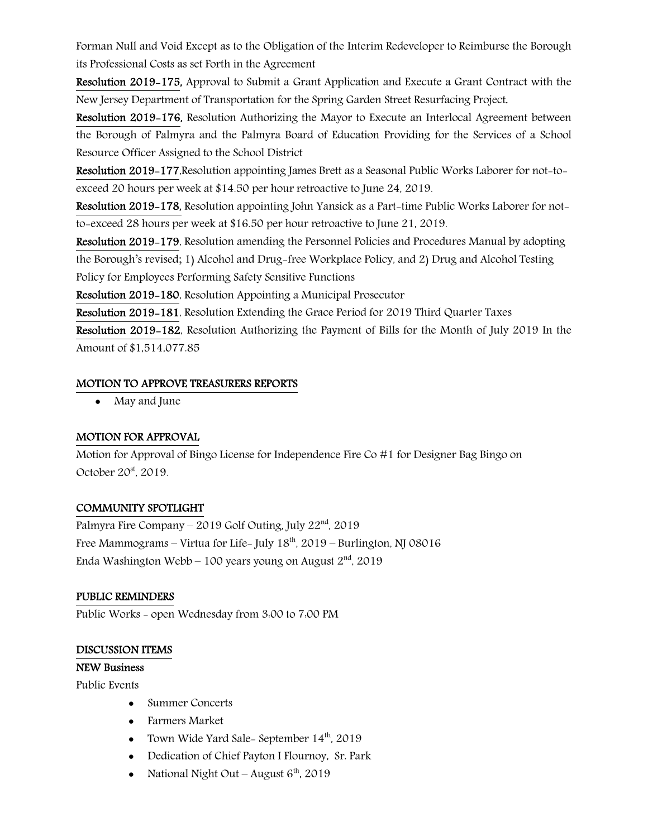Forman Null and Void Except as to the Obligation of the Interim Redeveloper to Reimburse the Borough its Professional Costs as set Forth in the Agreement

Resolution 2019-175, Approval to Submit a Grant Application and Execute a Grant Contract with the New Jersey Department of Transportation for the Spring Garden Street Resurfacing Project.

Resolution 2019-176, Resolution Authorizing the Mayor to Execute an Interlocal Agreement between the Borough of Palmyra and the Palmyra Board of Education Providing for the Services of a School Resource Officer Assigned to the School District

Resolution 2019-177,Resolution appointing James Brett as a Seasonal Public Works Laborer for not-toexceed 20 hours per week at \$14.50 per hour retroactive to June 24, 2019.

Resolution 2019-178, Resolution appointing John Yansick as a Part-time Public Works Laborer for notto-exceed 28 hours per week at \$16.50 per hour retroactive to June 21, 2019.

Resolution 2019-179, Resolution amending the Personnel Policies and Procedures Manual by adopting the Borough's revised; 1) Alcohol and Drug-free Workplace Policy, and 2) Drug and Alcohol Testing Policy for Employees Performing Safety Sensitive Functions

Resolution 2019-180, Resolution Appointing a Municipal Prosecutor

Resolution 2019-181, Resolution Extending the Grace Period for 2019 Third Quarter Taxes

Resolution 2019-182, Resolution Authorizing the Payment of Bills for the Month of July 2019 In the Amount of \$1,514,077.85

# MOTION TO APPROVE TREASURERS REPORTS

• May and June

# MOTION FOR APPROVAL

Motion for Approval of Bingo License for Independence Fire Co #1 for Designer Bag Bingo on October 20<sup>st</sup>, 2019.

# COMMUNITY SPOTLIGHT

Palmyra Fire Company – 2019 Golf Outing, July  $22<sup>nd</sup>$ , 2019 Free Mammograms – Virtua for Life- July  $18<sup>th</sup>$ , 2019 – Burlington, NJ 08016 Enda Washington Webb – 100 years young on August  $2<sup>nd</sup>$ , 2019

# PUBLIC REMINDERS

Public Works - open Wednesday from 3:00 to 7:00 PM

# DISCUSSION ITEMS

# NEW Business

Public Events

- Summer Concerts
- Farmers Market
- Town Wide Yard Sale- September  $14<sup>th</sup>$ , 2019
- Dedication of Chief Payton I Flournoy, Sr. Park
- National Night Out August  $6<sup>th</sup>$ , 2019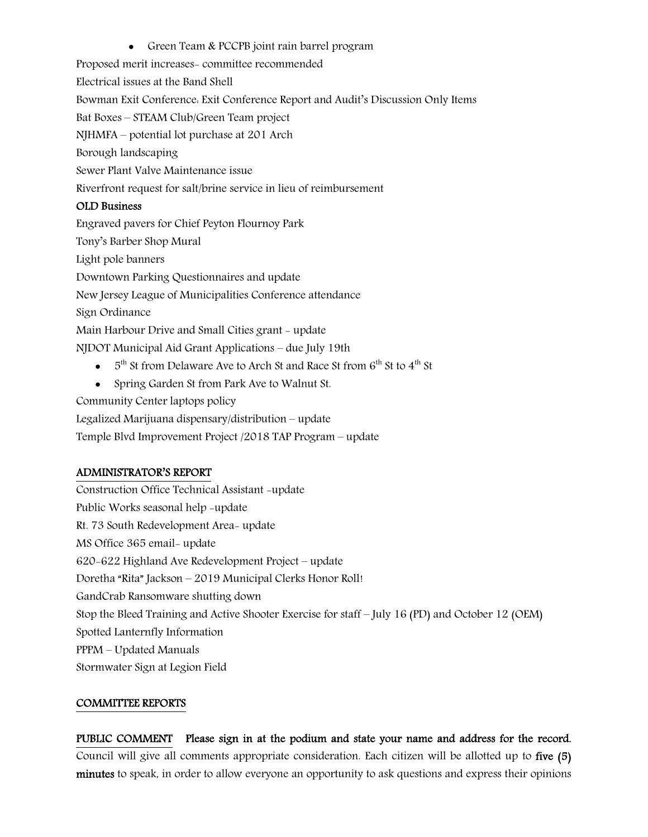• Green Team & PCCPB joint rain barrel program

Proposed merit increases- committee recommended

Electrical issues at the Band Shell

Bowman Exit Conference: Exit Conference Report and Audit's Discussion Only Items

Bat Boxes – STEAM Club/Green Team project

NJHMFA – potential lot purchase at 201 Arch

Borough landscaping

Sewer Plant Valve Maintenance issue

Riverfront request for salt/brine service in lieu of reimbursement

# OLD Business

Engraved pavers for Chief Peyton Flournoy Park Tony's Barber Shop Mural Light pole banners Downtown Parking Questionnaires and update New Jersey League of Municipalities Conference attendance Sign Ordinance Main Harbour Drive and Small Cities grant - update NJDOT Municipal Aid Grant Applications – due July 19th

- $\bullet$  5<sup>th</sup> St from Delaware Ave to Arch St and Race St from 6<sup>th</sup> St to 4<sup>th</sup> St
- Spring Garden St from Park Ave to Walnut St.

Community Center laptops policy

Legalized Marijuana dispensary/distribution – update

Temple Blvd Improvement Project /2018 TAP Program – update

# ADMINISTRATOR'S REPORT

Construction Office Technical Assistant -update Public Works seasonal help -update Rt. 73 South Redevelopment Area- update MS Office 365 email- update 620-622 Highland Ave Redevelopment Project – update Doretha "Rita" Jackson – 2019 Municipal Clerks Honor Roll! GandCrab Ransomware shutting down Stop the Bleed Training and Active Shooter Exercise for staff – July 16 (PD) and October 12 (OEM) Spotted Lanternfly Information PPPM – Updated Manuals Stormwater Sign at Legion Field

# COMMITTEE REPORTS

PUBLIC COMMENT Please sign in at the podium and state your name and address for the record. Council will give all comments appropriate consideration. Each citizen will be allotted up to five (5) minutes to speak, in order to allow everyone an opportunity to ask questions and express their opinions